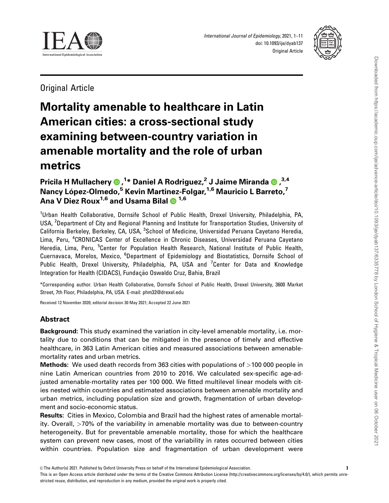

International Journal of Epidemiology, 2021, 1–11 doi: 10.1093/ije/dyab137 Original Article



Original Article

# Mortality amenable to healthcare in Latin American cities: a cross-sectional study examining between-country variation in amenable mortality and the role of urban metrics

# Pricila H Mullachery (D,<sup>1</sup>\* Daniel A Rodriguez,<sup>2</sup> J Jaime Miranda (D,<sup>3,4</sup> Nancy López-Olmedo,<sup>5</sup> Kevin Martinez-Folgar,<sup>1,6</sup> Mauricio L Barreto,<sup>7</sup> Ana V Diez Roux<sup>1,6</sup> and Usama Bilal  $\bullet$  <sup>1,6</sup>

<sup>1</sup>Urban Health Collaborative, Dornsife School of Public Health, Drexel University, Philadelphia, PA, USA, <sup>2</sup>Department of City and Regional Planning and Institute for Transportation Studies, University of California Berkeley, Berkeley, CA, USA, <sup>3</sup>School of Medicine, Universidad Peruana Cayetano Heredia, Lima, Peru, <sup>4</sup>CRONICAS Center of Excellence in Chronic Diseases, Universidad Peruana Cayetano Heredia, Lima, Peru, <sup>5</sup>Center for Population Health Research, National Institute of Public Health, Cuernavaca, Morelos, Mexico, <sup>6</sup>Department of Epidemiology and Biostatistics, Dornsife School of Public Health, Drexel University, Philadelphia, PA, USA and <sup>7</sup>Center for Data and Knowledge Integration for Health (CIDACS), Fundação Oswaldo Cruz, Bahia, Brazil

\*Corresponding author. Urban Health Collaborative, Dornsife School of Public Health, Drexel University, 3600 Market Street, 7th Floor, Philadelphia, PA, USA. E-mail: phm32@drexel.edu

Received 12 November 2020; editorial decision 30 May 2021; Accepted 22 June 2021

## Abstract

Background: This study examined the variation in city-level amenable mortality, i.e. mortality due to conditions that can be mitigated in the presence of timely and effective healthcare, in 363 Latin American cities and measured associations between amenablemortality rates and urban metrics.

**Methods:** We used death records from 363 cities with populations of  $>100 000$  people in nine Latin American countries from 2010 to 2016. We calculated sex-specific age-adjusted amenable-mortality rates per 100 000. We fitted multilevel linear models with cities nested within countries and estimated associations between amenable mortality and urban metrics, including population size and growth, fragmentation of urban development and socio-economic status.

Results: Cities in Mexico, Colombia and Brazil had the highest rates of amenable mortality. Overall, >70% of the variability in amenable mortality was due to between-country heterogeneity. But for preventable amenable mortality, those for which the healthcare system can prevent new cases, most of the variability in rates occurred between cities within countries. Population size and fragmentation of urban development were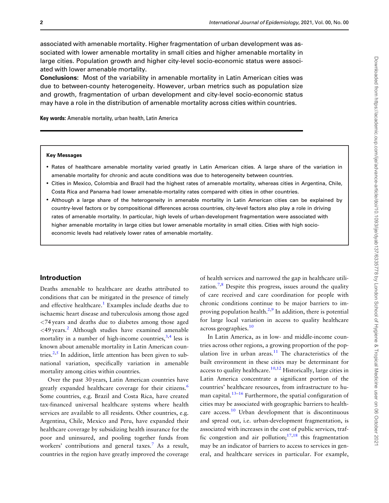<span id="page-1-0"></span>associated with amenable mortality. Higher fragmentation of urban development was associated with lower amenable mortality in small cities and higher amenable mortality in large cities. Population growth and higher city-level socio-economic status were associated with lower amenable mortality.

Conclusions: Most of the variability in amenable mortality in Latin American cities was due to between-county heterogeneity. However, urban metrics such as population size and growth, fragmentation of urban development and city-level socio-economic status may have a role in the distribution of amenable mortality across cities within countries.

Key words: Amenable mortality, urban health, Latin America

#### Key Messages

- Rates of healthcare amenable mortality varied greatly in Latin American cities. A large share of the variation in amenable mortality for chronic and acute conditions was due to heterogeneity between countries.
- Cities in Mexico, Colombia and Brazil had the highest rates of amenable mortality, whereas cities in Argentina, Chile, Costa Rica and Panama had lower amenable-mortality rates compared with cities in other countries.
- Although a large share of the heterogeneity in amenable mortality in Latin American cities can be explained by country-level factors or by compositional differences across countries, city-level factors also play a role in driving rates of amenable mortality. In particular, high levels of urban-development fragmentation were associated with higher amenable mortality in large cities but lower amenable mortality in small cities. Cities with high socioeconomic levels had relatively lower rates of amenable mortality.

## Introduction

Deaths amenable to healthcare are deaths attributed to conditions that can be mitigated in the presence of timely and effective healthcare.<sup>1</sup> Examples include deaths due to ischaemic heart disease and tuberculosis among those aged <74 years and deaths due to diabetes among those aged  $\langle 49 \rangle$  years.<sup>2</sup> Although studies have examined amenable mortality in a number of high-income countries,  $3,4$  less is known about amenable mortality in Latin American coun-tries.<sup>[2,5](#page-9-0)</sup> In addition, little attention has been given to subnational variation, specifically variation in amenable mortality among cities within countries.

Over the past 30 years, Latin American countries have greatly expanded healthcare coverage for their citizens.<sup>[6](#page-9-0)</sup> Some countries, e.g. Brazil and Costa Rica, have created tax-financed universal healthcare systems where health services are available to all residents. Other countries, e.g. Argentina, Chile, Mexico and Peru, have expanded their healthcare coverage by subsidizing health insurance for the poor and uninsured, and pooling together funds from workers' contributions and general taxes.<sup>[7](#page-9-0)</sup> As a result, countries in the region have greatly improved the coverage

of health services and narrowed the gap in healthcare utilization.<sup>7,8</sup> Despite this progress, issues around the quality of care received and care coordination for people with chronic conditions continue to be major barriers to im-proving population health.<sup>[2,9](#page-9-0)</sup> In addition, there is potential for large local variation in access to quality healthcare  $across$  geographies.<sup>[10](#page-9-0)</sup>

In Latin America, as in low- and middle-income countries across other regions, a growing proportion of the population live in urban areas. $11$  The characteristics of the built environment in these cities may be determinant for access to quality healthcare.<sup>[10,12](#page-9-0)</sup> Historically, large cities in Latin America concentrate a significant portion of the countries' healthcare resources, from infrastructure to human capital. $13-16$  $13-16$  Furthermore, the spatial configuration of cities may be associated with geographic barriers to health-care access.<sup>[10](#page-9-0)</sup> Urban development that is discontinuous and spread out, i.e. urban-development fragmentation, is associated with increases in the cost of public services, traffic congestion and air pollution;<sup>17,18</sup> this fragmentation may be an indicator of barriers to access to services in general, and healthcare services in particular. For example,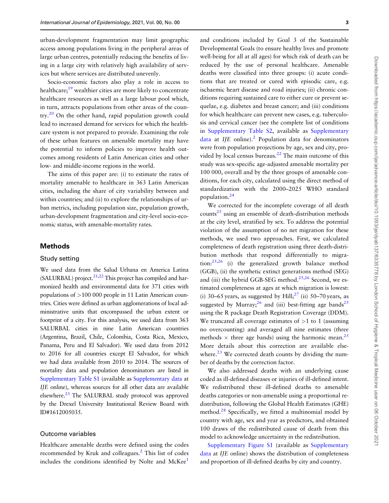<span id="page-2-0"></span>urban-development fragmentation may limit geographic access among populations living in the peripheral areas of large urban centres, potentially reducing the benefits of living in a large city with relatively high availability of services but where services are distributed unevenly.

Socio-economic factors also play a role in access to healthcare;<sup>[19](#page-10-0)</sup> wealthier cities are more likely to concentrate healthcare resources as well as a large labour pool which, in turn, attracts populations from other areas of the coun- $\text{tr} \mathbf{v}^2$ . On the other hand, rapid population growth could lead to increased demand for services for which the healthcare system is not prepared to provide. Examining the role of these urban features on amenable mortality may have the potential to inform policies to improve health outcomes among residents of Latin American cities and other low- and middle-income regions in the world.

The aims of this paper are: (i) to estimate the rates of mortality amenable to healthcare in 363 Latin American cities, including the share of city variability between and within countries; and (ii) to explore the relationships of urban metrics, including population size, population growth, urban-development fragmentation and city-level socio-economic status, with amenable-mortality rates.

## Methods

#### Study setting

We used data from the Salud Urbana en America Latina  $(SALURBAL)$  project.<sup>[21,22](#page-10-0)</sup> This project has compiled and harmonized health and environmental data for 371 cities with populations of >100 000 people in 11 Latin American countries. Cities were defined as urban agglomerations of local administrative units that encompassed the urban extent or footprint of a city. For this analysis, we used data from 363 SALURBAL cities in nine Latin American countries (Argentina, Brazil, Chile, Colombia, Costa Rica, Mexico, Panama, Peru and El Salvador). We used data from 2012 to 2016 for all countries except El Salvador, for which we had data available from 2010 to 2014. The sources of mortality data and population denominators are listed in [Supplementary Table S1](https://academic.oup.com/ije/article-lookup/doi/10.1093/ije/dyab137#supplementary-data) (available as [Supplementary data](https://academic.oup.com/ije/article-lookup/doi/10.1093/ije/dyab137#supplementary-data) at IJE online), whereas sources for all other data are available elsewhere.<sup>[23](#page-10-0)</sup> The SALURBAL study protocol was approved by the Drexel University Institutional Review Board with ID#1612005035.

#### Outcome variables

Healthcare amenable deaths were defined using the codes recommended by Kruk and colleagues.<sup>[2](#page-9-0)</sup> This list of codes includes the conditions identified by Nolte and McKee<sup>[1](#page-9-0)</sup>

Downloaded from https://academic.oup.com/ije/advance-article/doi/10.1093/ije/dyab137/6335778 by London School of Hygiene & Tropical Medicine user on 06 October 2021 Downloaded from https://academic.oup.com/ije/advance-article/doi/10.1093/ije/dyab137/6335778 by London School of Hygiene & Tropical Medicine user on 06 October 2021

and conditions included by Goal 3 of the Sustainable Developmental Goals (to ensure healthy lives and promote well-being for all at all ages) for which risk of death can be reduced by the use of personal healthcare. Amenable deaths were classified into three groups: (i) acute conditions that are treated or cured with episodic care, e.g. ischaemic heart disease and road injuries; (ii) chronic conditions requiring sustained care to either cure or prevent sequelae, e.g. diabetes and breast cancer; and (iii) conditions for which healthcare can prevent new cases, e.g. tuberculosis and cervical cancer (see the complete list of conditions in [Supplementary Table S2,](https://academic.oup.com/ije/article-lookup/doi/10.1093/ije/dyab137#supplementary-data) available as [Supplementary](https://academic.oup.com/ije/article-lookup/doi/10.1093/ije/dyab137#supplementary-data) [data](https://academic.oup.com/ije/article-lookup/doi/10.1093/ije/dyab137#supplementary-data) at  $I/E$  online).<sup>2</sup> Population data for denominators were from population projections by age, sex and city, pro-vided by local census bureaus.<sup>[22](#page-10-0)</sup> The main outcome of this study was sex-specific age-adjusted amenable mortality per 100 000, overall and by the three groups of amenable conditions, for each city, calculated using the direct method of standardization with the 2000–2025 WHO standard population[.24](#page-10-0)

We corrected for the incomplete coverage of all death counts<sup>25</sup> using an ensemble of death-distribution methods at the city level, stratified by sex. To address the potential violation of the assumption of no net migration for these methods, we used two approaches. First, we calculated completeness of death registration using three death-distribution methods that respond differentially to migration: $25,26$  (i) the generalized growth balance method (GGB), (ii) the synthetic extinct generations method (SEG) and (iii) the hybrid GGB-SEG method.<sup>25,26</sup> Second, we estimated completeness at ages at which migration is lowest: (i) 30–65 years, as suggested by  $\text{Hill}$ ;<sup>[27](#page-10-0)</sup> (ii) 50–70 years, as suggested by Murray;  $^{26}$  $^{26}$  $^{26}$  and (iii) best-fitting age bands<sup>25</sup> using the R package Death Registration Coverage (DDM). We truncated all coverage estimates of  $>1$  to 1 (assuming no overcounting) and averaged all nine estimates (three methods  $\times$  three age bands) using the harmonic mean.<sup>25</sup> More details about this correction are available elsewhere. $^{23}$  $^{23}$  $^{23}$  We corrected death counts by dividing the number of deaths by the correction factor.

We also addressed deaths with an underlying cause coded as ill-defined diseases or injuries of ill-defined intent. We redistributed these ill-defined deaths to amenable deaths categories or non-amenable using a proportional redistribution, following the Global Health Estimates (GHE) method. $28$  Specifically, we fitted a multinomial model by country with age, sex and year as predictors, and obtained 100 draws of the redistributed cause of death from this model to acknowledge uncertainty in the redistribution.

[Supplementary Figure S1](https://academic.oup.com/ije/article-lookup/doi/10.1093/ije/dyab137#supplementary-data) (available as [Supplementary](https://academic.oup.com/ije/article-lookup/doi/10.1093/ije/dyab137#supplementary-data) [data](https://academic.oup.com/ije/article-lookup/doi/10.1093/ije/dyab137#supplementary-data) at IJE online) shows the distribution of completeness and proportion of ill-defined deaths by city and country.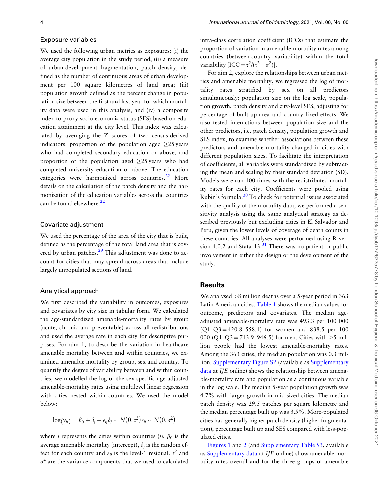#### <span id="page-3-0"></span>Exposure variables

We used the following urban metrics as exposures: (i) the average city population in the study period; (ii) a measure of urban-development fragmentation, patch density, defined as the number of continuous areas of urban development per 100 square kilometres of land area; (iii) population growth defined as the percent change in population size between the first and last year for which mortality data were used in this analysis; and (iv) a composite index to proxy socio-economic status (SES) based on education attainment at the city level. This index was calculated by averaging the Z scores of two census-derived indicators: proportion of the population aged  $>25$  years who had completed secondary education or above, and proportion of the population aged  $\geq$ 25 years who had completed university education or above. The education categories were harmonized across countries.<sup>[22](#page-10-0)</sup> More details on the calculation of the patch density and the harmonization of the education variables across the countries can be found elsewhere.<sup>[22](#page-10-0)</sup>

## Covariate adjustment

We used the percentage of the area of the city that is built, defined as the percentage of the total land area that is covered by urban patches. $29$  This adjustment was done to account for cities that may spread across areas that include largely unpopulated sections of land.

#### Analytical approach

We first described the variability in outcomes, exposures and covariates by city size in tabular form. We calculated the age-standardized amenable-mortality rates by group (acute, chronic and preventable) across all redistributions and used the average rate in each city for descriptive purposes. For aim 1, to describe the variation in healthcare amenable mortality between and within countries, we examined amenable mortality by group, sex and country. To quantify the degree of variability between and within countries, we modelled the log of the sex-specific age-adjusted amenable-mortality rates using multilevel linear regression with cities nested within countries. We used the model below:

$$
\log(y_{ij}) = \beta_0 + \delta_j + \epsilon_{ij}\delta_j \sim N(0, \tau^2)\epsilon_{ij} \sim N(0, \sigma^2)
$$

where *i* represents the cities within countries (*j*),  $\beta_0$  is the average amenable mortality (intercept),  $\delta_i$  is the random effect for each country and  $\varepsilon_{ij}$  is the level-1 residual.  $\tau^2$  and  $\sigma^2$  are the variance components that we used to calculated

intra-class correlation coefficient (ICCs) that estimate the proportion of variation in amenable-mortality rates among countries (between-country variability) within the total variability  $[ICC = \tau^2/(\tau^2 + \sigma^2)].$ 

For aim 2, explore the relationships between urban metrics and amenable mortality, we regressed the log of mortality rates stratified by sex on all predictors simultaneously: population size on the log scale, population growth, patch density and city-level SES, adjusting for percentage of built-up area and country fixed effects. We also tested interactions between population size and the other predictors, i.e. patch density, population growth and SES index, to examine whether associations between these predictors and amenable mortality changed in cities with different population sizes. To facilitate the interpretation of coefficients, all variables were standardized by subtracting the mean and scaling by their standard deviation (SD). Models were run 100 times with the redistributed mortality rates for each city. Coefficients were pooled using Rubin's formula.[30](#page-10-0) To check for potential issues associated with the quality of the mortality data, we performed a sensitivity analysis using the same analytical strategy as described previously but excluding cities in El Salvador and Peru, given the lower levels of coverage of death counts in these countries. All analyses were performed using R version 4.0.2 and Stata  $13.^{31}$  $13.^{31}$  $13.^{31}$  There was no patient or public involvement in either the design or the development of the study.

## **Results**

We analysed >8 million deaths over a 5-year period in 363 Latin American cities. [Table 1](#page-4-0) shows the median values for outcome, predictors and covariates. The median ageadjusted amenable-mortality rate was 493.3 per 100 000  $(Q1-Q3 = 420.8 - 558.1)$  for women and 838.5 per 100 000 (Q1–Q3 = 713.9–946.5) for men. Cities with  $\geq$ 5 million people had the lowest amenable-mortality rates. Among the 363 cities, the median population was 0.3 million. [Supplementary Figure S2](https://academic.oup.com/ije/article-lookup/doi/10.1093/ije/dyab137#supplementary-data) (available as [Supplementary](https://academic.oup.com/ije/article-lookup/doi/10.1093/ije/dyab137#supplementary-data) [data](https://academic.oup.com/ije/article-lookup/doi/10.1093/ije/dyab137#supplementary-data) at IJE online) shows the relationship between amenable-mortality rate and population as a continuous variable in the log scale. The median 5-year population growth was 4.7% with larger growth in mid-sized cities. The median patch density was 29.5 patches per square kilometre and the median percentage built up was 3.5%. More-populated cities had generally higher patch density (higher fragmentation), percentage built up and SES compared with less-populated cities.

[Figures 1](#page-4-0) and [2](#page-5-0) (and [Supplementary Table S3](https://academic.oup.com/ije/article-lookup/doi/10.1093/ije/dyab137#supplementary-data), available as [Supplementary data](https://academic.oup.com/ije/article-lookup/doi/10.1093/ije/dyab137#supplementary-data) at IJE online) show amenable-mortality rates overall and for the three groups of amenable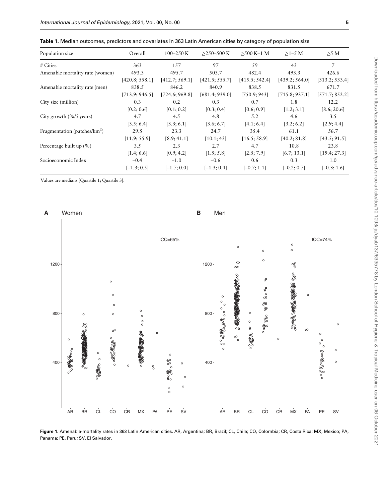| Population size                             | Overall        | $100 - 250$ K  | $>250 - 500$ K | $>500$ K-1 M   | $>1-5$ M       | $>5$ M         |
|---------------------------------------------|----------------|----------------|----------------|----------------|----------------|----------------|
| # Cities                                    | 363            | 157            | 97             | .59            | 43             | 7              |
| Amenable mortality rate (women)             | 493.3          | 495.7          | 503.7          | 482.4          | 493.3          | 426.6          |
|                                             | [420.8; 558.1] | [412.7; 569.1] | [421.5; 555.7] | [415.5; 542.4] | [439.2; 564.0] | [313.2; 533.4] |
| Amenable mortality rate (men)               | 838.5          | 846.2          | 840.9          | 838.5          | 831.5          | 671.7          |
|                                             | [713.9; 946.5] | [724.6; 969.8] | [681.4; 939.0] | [750.9; 943]   | [715.8; 937.1] | [571.7; 852.2] |
| City size (million)                         | 0.3            | 0.2            | 0.3            | 0.7            | 1.8            | 12.2           |
|                                             | [0.2; 0.6]     | [0.1; 0.2]     | [0.3; 0.4]     | [0.6; 0.9]     | [1.2; 3.1]     | [8.6; 20.6]    |
| City growth $(\frac{9}{6}/5 \text{ years})$ | 4.7            | 4.5            | 4.8            | 5.2            | 4.6            | $3.5^{\circ}$  |
|                                             | [3.5; 6.4]     | [3.3; 6.1]     | [3.6; 6.7]     | [4.1; 6.4]     | [3.2; 6.2]     | [2.9; 4.4]     |
| Fragmentation (patches/ $km^2$ )            | 29.5           | 23.3           | 24.7           | 35.4           | 61.1           | 56.7           |
|                                             | [11.9; 55.9]   | [8.9; 41.1]    | [10.1; 43]     | [16.5; 58.9]   | [40.2; 81.8]   | [43.5; 91.5]   |
| Percentage built up $(\% )$                 | 3.5            | 2.3            | 2.7            | 4.7            | 10.8           | 23.8           |
|                                             | [1.4; 6.6]     | [0.9; 4.2]     | [1.5; 5.8]     | [2.5; 7.9]     | [6.7; 13.1]    | [19.4; 27.3]   |
| Socioeconomic Index                         | $-0.4$         | $-1.0$         | $-0.6$         | 0.6            | 0.3            | 1.0            |
|                                             | $[-1.3; 0.5]$  | $[-1.7; 0.0]$  | $[-1.3; 0.4]$  | $[-0.7; 1.1]$  | $[-0.2; 0.7]$  | $[-0.3; 1.6]$  |

<span id="page-4-0"></span>Table 1. Median outcomes, predictors and covariates in 363 Latin American cities by category of population size

Values are medians [Quartile 1; Quartile 3].



Figure 1. Amenable-mortality rates in 363 Latin American cities. AR, Argentina; BR, Brazil; CL, Chile; CO, Colombia; CR, Costa Rica; MX, Mexico; PA, Panama; PE, Peru; SV, El Salvador.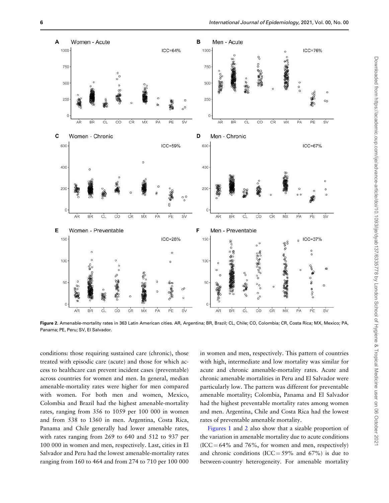<span id="page-5-0"></span>

Figure 2. Amenable-mortality rates in 363 Latin American cities. AR, Argentina; BR, Brazil; CL, Chile; CO, Colombia; CR, Costa Rica; MX, Mexico; PA, Panama; PE, Peru; SV, El Salvador.

conditions: those requiring sustained care (chronic), those treated with episodic care (acute) and those for which access to healthcare can prevent incident cases (preventable) across countries for women and men. In general, median amenable-mortality rates were higher for men compared with women. For both men and women, Mexico, Colombia and Brazil had the highest amenable-mortality rates, ranging from 356 to 1059 per 100 000 in women and from 538 to 1360 in men. Argentina, Costa Rica, Panama and Chile generally had lower amenable rates, with rates ranging from 269 to 640 and 512 to 937 per 100 000 in women and men, respectively. Last, cities in El Salvador and Peru had the lowest amenable-mortality rates ranging from 160 to 464 and from 274 to 710 per 100 000 in women and men, respectively. This pattern of countries with high, intermediate and low mortality was similar for acute and chronic amenable-mortality rates. Acute and chronic amenable mortalities in Peru and El Salvador were particularly low. The pattern was different for preventable amenable mortality; Colombia, Panama and El Salvador had the highest preventable mortality rates among women and men. Argentina, Chile and Costa Rica had the lowest rates of preventable amenable mortality.

[Figures 1](#page-4-0) and 2 also show that a sizable proportion of the variation in amenable mortality due to acute conditions  $(ICC = 64\%$  and 76%, for women and men, respectively) and chronic conditions (ICC =  $59\%$  and  $67\%$ ) is due to between-country heterogeneity. For amenable mortality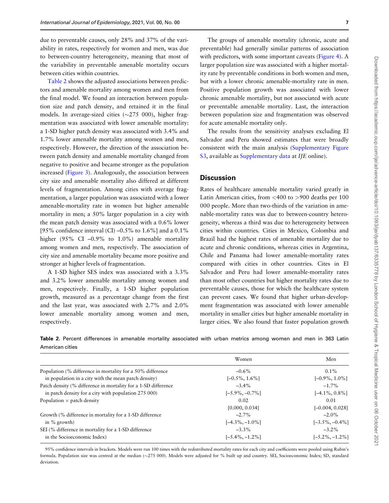<span id="page-6-0"></span>due to preventable causes, only 28% and 37% of the variability in rates, respectively for women and men, was due to between-country heterogeneity, meaning that most of the variability in preventable amenable mortality occurs between cities within countries.

Table 2 shows the adjusted associations between predictors and amenable mortality among women and men from the final model. We found an interaction between population size and patch density, and retained it in the final models. In average-sized cities  $(\sim 275\ 000)$ , higher fragmentation was associated with lower amenable mortality: a 1-SD higher patch density was associated with 3.4% and 1.7% lower amenable mortality among women and men, respectively. However, the direction of the association between patch density and amenable mortality changed from negative to positive and became stronger as the population increased ([Figure 3\)](#page-7-0). Analogously, the association between city size and amenable mortality also differed at different levels of fragmentation. Among cities with average fragmentation, a larger population was associated with a lower amenable-mortality rate in women but higher amenable mortality in men; a 50% larger population in a city with the mean patch density was associated with a 0.6% lower [95% confidence interval (CI) –0.5% to 1.6%] and a 0.1% higher (95% CI –0.9% to 1.0%) amenable mortality among women and men, respectively. The association of city size and amenable mortality became more positive and stronger at higher levels of fragmentation.

A 1-SD higher SES index was associated with a 3.3% and 3.2% lower amenable mortality among women and men, respectively. Finally, a 1-SD higher population growth, measured as a percentage change from the first and the last year, was associated with 2.7% and 2.0% lower amenable mortality among women and men, respectively.

The groups of amenable mortality (chronic, acute and preventable) had generally similar patterns of association with predictors, with some important caveats [\(Figure 4](#page-7-0)). A larger population size was associated with a higher mortality rate by preventable conditions in both women and men, but with a lower chronic amenable-mortality rate in men. Positive population growth was associated with lower chronic amenable mortality, but not associated with acute or preventable amenable mortality. Last, the interaction between population size and fragmentation was observed for acute amenable mortality only.

The results from the sensitivity analyses excluding El Salvador and Peru showed estimates that were broadly consistent with the main analysis [\(Supplementary Figure](https://academic.oup.com/ije/article-lookup/doi/10.1093/ije/dyab137#supplementary-data) [S3,](https://academic.oup.com/ije/article-lookup/doi/10.1093/ije/dyab137#supplementary-data) available as [Supplementary data](https://academic.oup.com/ije/article-lookup/doi/10.1093/ije/dyab137#supplementary-data) at IJE online).

#### **Discussion**

Rates of healthcare amenable mortality varied greatly in Latin American cities, from <400 to >900 deaths per 100 000 people. More than two-thirds of the variation in amenable-mortality rates was due to between-country heterogeneity, whereas a third was due to heterogeneity between cities within countries. Cities in Mexico, Colombia and Brazil had the highest rates of amenable mortality due to acute and chronic conditions, whereas cities in Argentina, Chile and Panama had lower amenable-mortality rates compared with cities in other countries. Cites in El Salvador and Peru had lower amenable-mortality rates than most other countries but higher mortality rates due to preventable causes, those for which the healthcare system can prevent cases. We found that higher urban-development fragmentation was associated with lower amenable mortality in smaller cities but higher amenable mortality in larger cities. We also found that faster population growth

Table 2. Percent differences in amenable mortality associated with urban metrics among women and men in 363 Latin American cities

|                                                                | Women              | Men                |
|----------------------------------------------------------------|--------------------|--------------------|
| Population (% difference in mortality for a 50% difference     | $-0.6\%$           | $0.1\%$            |
| in population in a city with the mean patch density)           | $[-0.5\%, 1.6\%]$  | $[-0.9\%, 1.0\%]$  |
| Patch density (% difference in mortality for a 1-SD difference | $-3.4\%$           | $-1.7\%$           |
| in patch density for a city with population 275 000)           | $[-5.9\%, -0.7\%]$ | $[-4.1\%, 0.8\%]$  |
| Population $\times$ patch density                              | 0.02               | 0.01               |
|                                                                | [0.000, 0.034]     | $[-0.004, 0.028]$  |
| Growth (% difference in mortality for a 1-SD difference        | $-2.7\%$           | $-2.0\%$           |
| in $\%$ growth)                                                | $[-4.3\%, -1.0\%]$ | $[-3.5\%, -0.4\%]$ |
| SEI (% difference in mortality for a 1-SD difference           | $-3.3\%$           | $-3.2\%$           |
| in the Socioeconomic Index)                                    | $[-5.4\%, -1.2\%]$ | $[-5.2\%, -1.2\%]$ |

95% confidence intervals in brackets. Models were run 100 times with the redistributed mortality rates for each city and coefficients were pooled using Rubin's formula. Population size was centred at the median (~275 000). Models were adjusted for % built up and country. SEI, Socioeconomic Index; SD, standard deviation.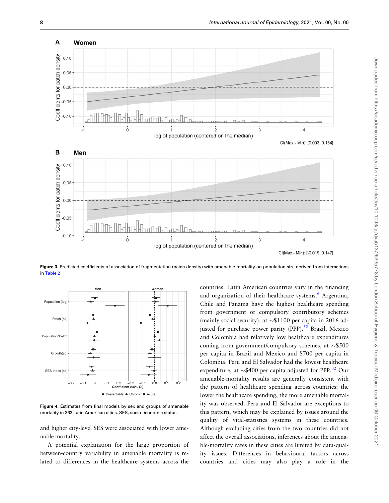<span id="page-7-0"></span>

Figure 3. Predicted coefficients of association of fragmentation (patch density) with amenable mortality on population size derived from interactions in [Table 2](#page-6-0)



Figure 4. Estimates from final models by sex and groups of amenable mortality in 363 Latin American cities. SES, socio-economic status.

and higher city-level SES were associated with lower amenable mortality.

A potential explanation for the large proportion of between-country variability in amenable mortality is related to differences in the healthcare systems across the

countries. Latin American countries vary in the financing and organization of their healthcare systems.<sup>[6](#page-9-0)</sup> Argentina, Chile and Panama have the highest healthcare spending from government or compulsory contributory schemes (mainly social security), at  $\sim $1100$  per capita in 2016 ad-justed for purchase power parity (PPP).<sup>[32](#page-10-0)</sup> Brazil, Mexico and Colombia had relatively low healthcare expenditures coming from government/compulsory schemes, at  $\sim$ \$500 per capita in Brazil and Mexico and \$700 per capita in Colombia. Peru and El Salvador had the lowest healthcare expenditure, at  $\sim$ \$400 per capita adjusted for PPP.<sup>32</sup> Our amenable-mortality results are generally consistent with the pattern of healthcare spending across countries: the lower the healthcare spending, the more amenable mortality was observed. Peru and El Salvador are exceptions to this pattern, which may be explained by issues around the quality of vital-statistics systems in these countries. Although excluding cities from the two countries did not affect the overall associations, inferences about the amenable-mortality rates in these cities are limited by data-quality issues. Differences in behavioural factors across countries and cities may also play a role in the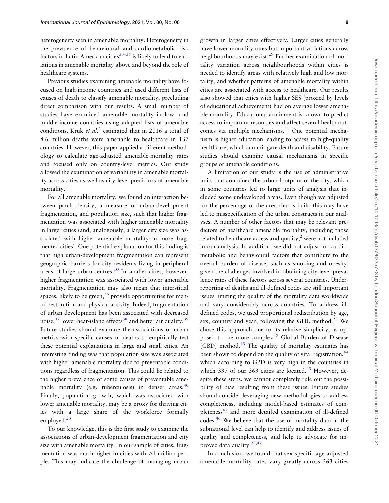<span id="page-8-0"></span>heterogeneity seen in amenable mortality. Heterogeneity in the prevalence of behavioural and cardiometabolic risk factors in Latin American cities $33-35$  is likely to lead to variations in amenable mortality above and beyond the role of healthcare systems.

Previous studies examining amenable mortality have focused on high-income countries and used different lists of causes of death to classify amenable mortality, precluding direct comparison with our results. A small number of studies have examined amenable mortality in low- and middle-income countries using adapted lists of amenable conditions. Kruk et  $al<sup>2</sup>$  $al<sup>2</sup>$  $al<sup>2</sup>$  estimated that in 2016 a total of 8.6 million deaths were amenable to healthcare in 137 countries. However, this paper applied a different methodology to calculate age-adjusted amenable-mortality rates and focused only on country-level metrics. Our study allowed the examination of variability in amenable mortality across cities as well as city-level predictors of amenable mortality.

For all amenable mortality, we found an interaction between patch density, a measure of urban-development fragmentation, and population size, such that higher fragmentation was associated with higher amenable mortality in larger cities (and, analogously, a larger city size was associated with higher amenable mortality in more fragmented cities). One potential explanation for this finding is that high urban-development fragmentation can represent geographic barriers for city residents living in peripheral areas of large urban centres.<sup>[10](#page-9-0)</sup> In smaller cities, however, higher fragmentation was associated with lower amenable mortality. Fragmentation may also mean that interstitial spaces, likely to be green,  $36$  provide opportunities for mental restoration and physical activity. Indeed, fragmentation of urban development has been associated with decreased noise,  $37$  lower heat-island effects  $38$  and better air quality.  $39$ Future studies should examine the associations of urban metrics with specific causes of deaths to empirically test these potential explanations in large and small cities. An interesting finding was that population size was associated with higher amenable mortality due to preventable conditions regardless of fragmentation. This could be related to the higher prevalence of some causes of preventable amenable mortality (e.g. tuberculosis) in denser areas. $40$ Finally, population growth, which was associated with lower amenable mortality, may be a proxy for thriving cities with a large share of the workforce formally employed. $^{23}$ 

To our knowledge, this is the first study to examine the associations of urban-development fragmentation and city size with amenable mortality. In our sample of cities, fragmentation was much higher in cities with  $\geq 1$  million people. This may indicate the challenge of managing urban growth in larger cities effectively. Larger cities generally have lower mortality rates but important variations across neighbourhoods may exist.<sup>29</sup> Further examination of mortality variation across neighbourhoods within cities is needed to identify areas with relatively high and low mortality, and whether patterns of amenable mortality within cities are associated with access to healthcare. Our results also showed that cities with higher SES (proxied by levels of educational achievement) had on average lower amenable mortality. Educational attainment is known to predict access to important resources and affect several health out-comes via multiple mechanisms.<sup>[41](#page-10-0)</sup> One potential mechanism is higher education leading to access to high-quality healthcare, which can mitigate death and disability. Future studies should examine causal mechanisms in specific groups or amenable conditions.

A limitation of our study is the use of administrative units that contained the urban footprint of the city, which in some countries led to large units of analysis that included some undeveloped areas. Even though we adjusted for the percentage of the area that is built, this may have led to misspecification of the urban constructs in our analyses. A number of other factors that may be relevant predictors of healthcare amenable mortality, including those related to healthcare access and quality, $\lambda$  were not included in our analysis. In addition, we did not adjust for cardiometabolic and behavioural factors that contribute to the overall burden of disease, such as smoking and obesity, given the challenges involved in obtaining city-level prevalence rates of these factors across several countries. Underreporting of deaths and ill-defined codes are still important issues limiting the quality of the mortality data worldwide and vary considerably across countries. To address illdefined codes, we used proportional redistribution by age, sex, country and year, following the GHE method.<sup>[28](#page-10-0)</sup> We chose this approach due to its relative simplicity, as op-posed to the more complex<sup>[42](#page-10-0)</sup> Global Burden of Disease  $(GBD)$  method.<sup>43</sup> The quality of mortality estimates has been shown to depend on the quality of vital registration,<sup>44</sup> which according to GBD is very high in the countries in which 337 of our 363 cities are located. $43$  However, despite these steps, we cannot completely rule out the possibility of bias resulting from these issues. Future studies should consider leveraging new methodologies to address completeness, including model-based estimates of com-pleteness<sup>[45](#page-10-0)</sup> and more detailed examination of ill-defined codes.[46](#page-10-0) We believe that the use of mortality data at the subnational level can help to identify and address issues of quality and completeness, and help to advocate for improved data quality. $23,47$ 

In conclusion, we found that sex-specific age-adjusted amenable-mortality rates vary greatly across 363 cities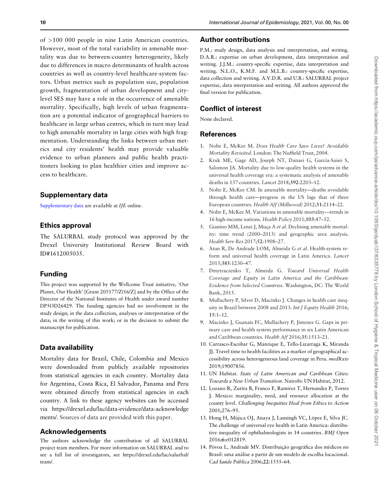<span id="page-9-0"></span>of >100 000 people in nine Latin American countries. However, most of the total variability in amenable mortality was due to between-country heterogeneity, likely due to differences in macro determinants of health across countries as well as country-level healthcare-system factors. Urban metrics such as population size, population growth, fragmentation of urban development and citylevel SES may have a role in the occurrence of amenable mortality. Specifically, high levels of urban fragmentation are a potential indicator of geographical barriers to healthcare in large urban centres, which in turn may lead to high amenable mortality in large cities with high fragmentation. Understanding the links between urban metrics and city residents' health may provide valuable evidence to urban planners and public health practitioners looking to plan healthier cities and improve access to healthcare.

## Supplementary data

[Supplementary data](https://academic.oup.com/ije/article-lookup/doi/10.1093/ije/dyab137#supplementary-data) are available at IJE online.

### Ethics approval

The SALURBAL study protocol was approved by the Drexel University Institutional Review Board with ID#1612005035.

## Funding

This project was supported by the Wellcome Trust initiative, 'Our Planet, Our Health' [Grant 205177/Z/16/Z] and by the Office of the Director of the National Institutes of Health under award number DP5OD26429. The funding agencies had no involvement in the study design; in the data collection, analyses or interpretation of the data; in the writing of this work; or in the decision to submit the manuscript for publication.

## Data availability

Mortality data for Brazil, Chile, Colombia and Mexico were downloaded from publicly available repositories from statistical agencies in each country. Mortality data for Argentina, Costa Rica, El Salvador, Panama and Peru were obtained directly from statistical agencies in each country. A link to these agency websites can be accessed via [https://drexel.edu/lac/data-evidence/data-acknowledge](https://drexel.edu/lac/data-evidence/data-acknowledgements/) [ments/](https://drexel.edu/lac/data-evidence/data-acknowledgements/). Sources of data are provided with this paper.

#### Acknowledgements

The authors acknowledge the contribution of all SALURBAL project team members. For more information on SALURBAL and to see a full list of investigators, see [https://drexel.edu/lac/salurbal/](https://drexel.edu/lac/salurbal/team/) [team/](https://drexel.edu/lac/salurbal/team/).

## Author contributions

P.M.: study design, data analysis and interpretation, and writing. D.A.R.: expertise on urban development, data interpretation and writing. J.J.M.: country-specific expertise, data interpretation and writing. N.L.O., K.M.F. and M.L.B.: country-specific expertise, data collection and writing. A.V.D.R. and U.B.: SALURBAL project expertise, data interpretation and writing. All authors approved the final version for publication.

## Conflict of interest

None declared.

#### References

- [1.](#page-1-0) Nolte E, McKee M. Does Health Care Save Lives? Avoidable Mortality Revisited. London: The Nuffield Trust, 2004.
- [2.](#page-1-0) Kruk ME, Gage AD, Joseph NT, Danaei G, García-Saisó S, Salomon JA. Mortality due to low-quality health systems in the universal health coverage era: a systematic analysis of amenable deaths in 137 countries. Lancet 2018;392:2203–12.
- [3.](#page-1-0) Nolte E, McKee CM. In amenable mortality—deaths avoidable through health care—progress in the US lags that of three European countries. Health Aff (Millwood) 2012;31:2114–22.
- [4.](#page-1-0) Nolte E, McKee M. Variations in amenable mortality—trends in 16 high-income nations. Health Policy 2011;103:47–52.
- [5.](#page-1-0) Gianino MM, Lenzi J, Muca A et al. Declining amenable mortality: time trend (2000–2013) and geographic area analysis. Health Serv Res 2017;52:1908–27.
- [6.](#page-1-0) Atun R, De Andrade LOM, Almeida G et al. Health-system reform and universal health coverage in Latin America. Lancet 2015;385:1230–47.
- [7.](#page-1-0) Dmytraczenko T, Almeida G. Toward Universal Health Coverage and Equity in Latin America and the Caribbean: Evidence from Selected Countries. Washington, DC: The World Bank, 2015.
- [8.](#page-1-0) Mullachery P, Silver D, Macinko J. Changes in health care inequity in Brazil between 2008 and 2013. Int J Equity Health 2016; 15:1–12.
- [9.](#page-1-0) Macinko J, Guanais FC, Mullachery P, Jimenez G. Gaps in primary care and health system performance in six Latin American and Caribbean countries. Health Aff 2016;35:1513–21.
- [10.](#page-1-0) Carrasco-Escobar G, Manrique E, Tello-Lizarraga K, Miranda JJ. Travel time to health facilities as a marker of geographical accessibility across heterogeneous land coverage in Peru. medRxiv 2019;19007856.
- [11.](#page-1-0) UN Habitat. State of Latin American and Caribbean Cities: Towards a New Urban Transition. Nairobi: UN Habitat, 2012.
- [12.](#page-1-0) Lozano R, Zurita B, Franco F, Ramirez T, Hernandez P, Torres J. Mexico: marginality, need, and resource allocation at the county level. Challenging Inequities Heal from Ethics to Action 2001;276–95.
- 13. Hong H, Mújica OJ, Anaya J, Lansingh VC, López E, Silva JC. The challenge of universal eye health in Latin America: distributive inequality of ophthalmologists in 14 countries. BMJ Open 2016;6:e012819.
- 14. Póvoa L, Andrade MV. Distribuição geográfica dos médicos no Brasil: uma análise a partir de um modelo de escolha locacional. Cad Saúde Pública 2006;22:1555-64.